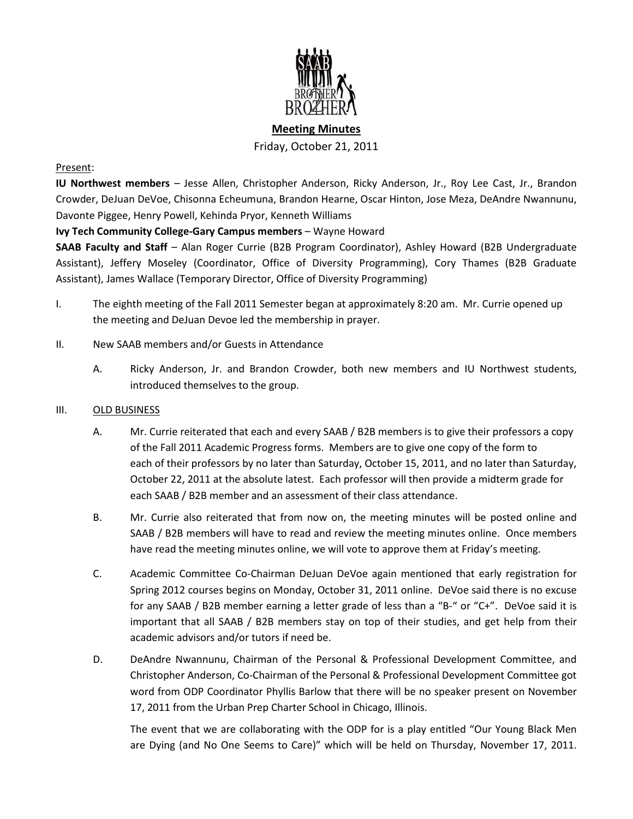

# **Meeting Minutes** Friday, October 21, 2011

## Present:

**IU Northwest members** – Jesse Allen, Christopher Anderson, Ricky Anderson, Jr., Roy Lee Cast, Jr., Brandon Crowder, DeJuan DeVoe, Chisonna Echeumuna, Brandon Hearne, Oscar Hinton, Jose Meza, DeAndre Nwannunu, Davonte Piggee, Henry Powell, Kehinda Pryor, Kenneth Williams

## **Ivy Tech Community College-Gary Campus members** – Wayne Howard

**SAAB Faculty and Staff** – Alan Roger Currie (B2B Program Coordinator), Ashley Howard (B2B Undergraduate Assistant), Jeffery Moseley (Coordinator, Office of Diversity Programming), Cory Thames (B2B Graduate Assistant), James Wallace (Temporary Director, Office of Diversity Programming)

- I. The eighth meeting of the Fall 2011 Semester began at approximately 8:20 am. Mr. Currie opened up the meeting and DeJuan Devoe led the membership in prayer.
- II. New SAAB members and/or Guests in Attendance
	- A. Ricky Anderson, Jr. and Brandon Crowder, both new members and IU Northwest students, introduced themselves to the group.

## III. OLD BUSINESS

- A. Mr. Currie reiterated that each and every SAAB / B2B members is to give their professors a copy of the Fall 2011 Academic Progress forms. Members are to give one copy of the form to each of their professors by no later than Saturday, October 15, 2011, and no later than Saturday, October 22, 2011 at the absolute latest. Each professor will then provide a midterm grade for each SAAB / B2B member and an assessment of their class attendance.
- B. Mr. Currie also reiterated that from now on, the meeting minutes will be posted online and SAAB / B2B members will have to read and review the meeting minutes online. Once members have read the meeting minutes online, we will vote to approve them at Friday's meeting.
- C. Academic Committee Co-Chairman DeJuan DeVoe again mentioned that early registration for Spring 2012 courses begins on Monday, October 31, 2011 online. DeVoe said there is no excuse for any SAAB / B2B member earning a letter grade of less than a "B-" or "C+". DeVoe said it is important that all SAAB / B2B members stay on top of their studies, and get help from their academic advisors and/or tutors if need be.
- D. DeAndre Nwannunu, Chairman of the Personal & Professional Development Committee, and Christopher Anderson, Co-Chairman of the Personal & Professional Development Committee got word from ODP Coordinator Phyllis Barlow that there will be no speaker present on November 17, 2011 from the Urban Prep Charter School in Chicago, Illinois.

The event that we are collaborating with the ODP for is a play entitled "Our Young Black Men are Dying (and No One Seems to Care)" which will be held on Thursday, November 17, 2011.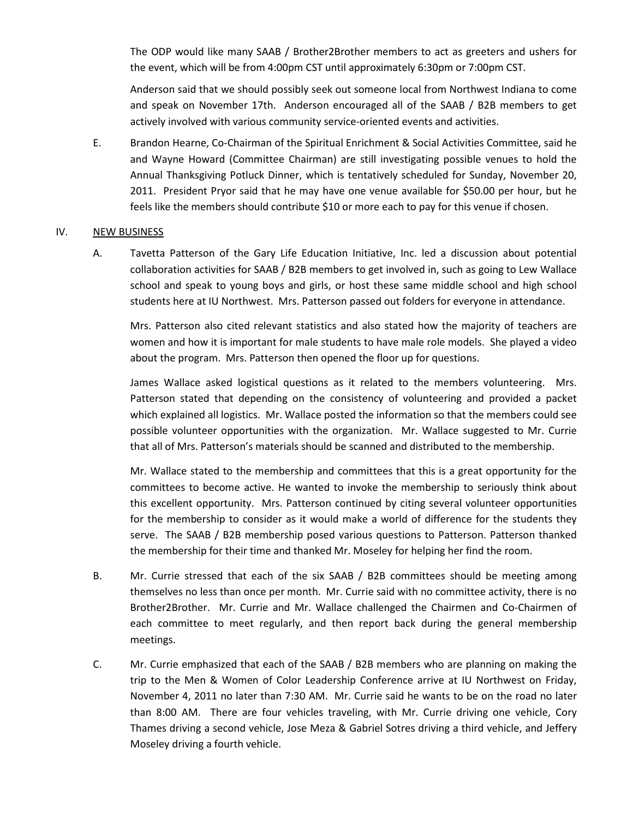The ODP would like many SAAB / Brother2Brother members to act as greeters and ushers for the event, which will be from 4:00pm CST until approximately 6:30pm or 7:00pm CST.

Anderson said that we should possibly seek out someone local from Northwest Indiana to come and speak on November 17th. Anderson encouraged all of the SAAB / B2B members to get actively involved with various community service-oriented events and activities.

E. Brandon Hearne, Co-Chairman of the Spiritual Enrichment & Social Activities Committee, said he and Wayne Howard (Committee Chairman) are still investigating possible venues to hold the Annual Thanksgiving Potluck Dinner, which is tentatively scheduled for Sunday, November 20, 2011. President Pryor said that he may have one venue available for \$50.00 per hour, but he feels like the members should contribute \$10 or more each to pay for this venue if chosen.

#### IV. NEW BUSINESS

A. Tavetta Patterson of the Gary Life Education Initiative, Inc. led a discussion about potential collaboration activities for SAAB / B2B members to get involved in, such as going to Lew Wallace school and speak to young boys and girls, or host these same middle school and high school students here at IU Northwest. Mrs. Patterson passed out folders for everyone in attendance.

Mrs. Patterson also cited relevant statistics and also stated how the majority of teachers are women and how it is important for male students to have male role models. She played a video about the program. Mrs. Patterson then opened the floor up for questions.

James Wallace asked logistical questions as it related to the members volunteering. Mrs. Patterson stated that depending on the consistency of volunteering and provided a packet which explained all logistics. Mr. Wallace posted the information so that the members could see possible volunteer opportunities with the organization. Mr. Wallace suggested to Mr. Currie that all of Mrs. Patterson's materials should be scanned and distributed to the membership.

Mr. Wallace stated to the membership and committees that this is a great opportunity for the committees to become active. He wanted to invoke the membership to seriously think about this excellent opportunity. Mrs. Patterson continued by citing several volunteer opportunities for the membership to consider as it would make a world of difference for the students they serve. The SAAB / B2B membership posed various questions to Patterson. Patterson thanked the membership for their time and thanked Mr. Moseley for helping her find the room.

- B. Mr. Currie stressed that each of the six SAAB / B2B committees should be meeting among themselves no less than once per month. Mr. Currie said with no committee activity, there is no Brother2Brother. Mr. Currie and Mr. Wallace challenged the Chairmen and Co-Chairmen of each committee to meet regularly, and then report back during the general membership meetings.
- C. Mr. Currie emphasized that each of the SAAB / B2B members who are planning on making the trip to the Men & Women of Color Leadership Conference arrive at IU Northwest on Friday, November 4, 2011 no later than 7:30 AM. Mr. Currie said he wants to be on the road no later than 8:00 AM. There are four vehicles traveling, with Mr. Currie driving one vehicle, Cory Thames driving a second vehicle, Jose Meza & Gabriel Sotres driving a third vehicle, and Jeffery Moseley driving a fourth vehicle.